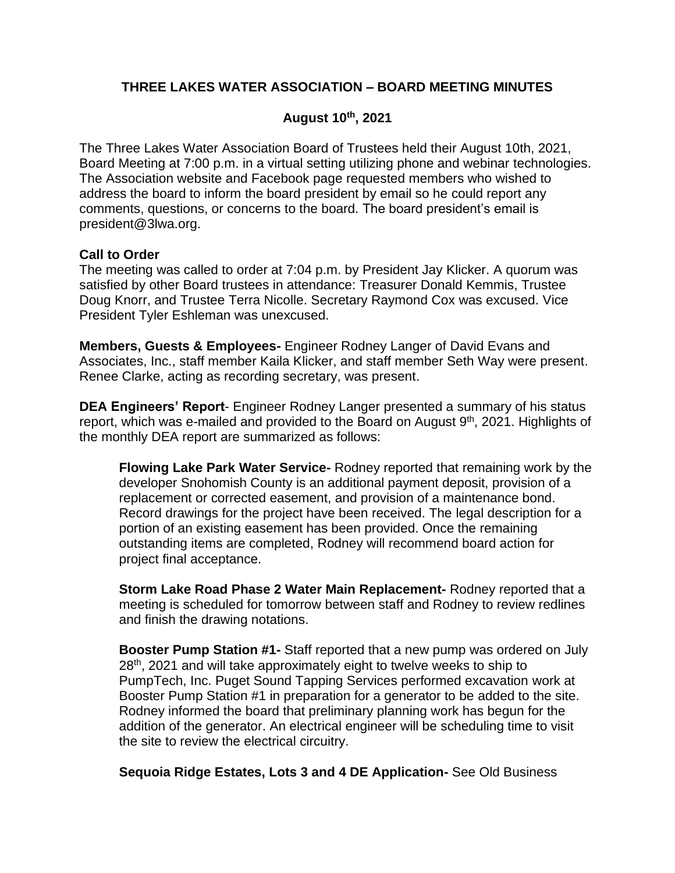# **THREE LAKES WATER ASSOCIATION – BOARD MEETING MINUTES**

## **August 10 th, 2021**

The Three Lakes Water Association Board of Trustees held their August 10th, 2021, Board Meeting at 7:00 p.m. in a virtual setting utilizing phone and webinar technologies. The Association website and Facebook page requested members who wished to address the board to inform the board president by email so he could report any comments, questions, or concerns to the board. The board president's email is president@3lwa.org.

#### **Call to Order**

The meeting was called to order at 7:04 p.m. by President Jay Klicker. A quorum was satisfied by other Board trustees in attendance: Treasurer Donald Kemmis, Trustee Doug Knorr, and Trustee Terra Nicolle. Secretary Raymond Cox was excused. Vice President Tyler Eshleman was unexcused.

**Members, Guests & Employees-** Engineer Rodney Langer of David Evans and Associates, Inc., staff member Kaila Klicker, and staff member Seth Way were present. Renee Clarke, acting as recording secretary, was present.

**DEA Engineers' Report**- Engineer Rodney Langer presented a summary of his status report, which was e-mailed and provided to the Board on August  $9<sup>th</sup>$ , 2021. Highlights of the monthly DEA report are summarized as follows:

**Flowing Lake Park Water Service-** Rodney reported that remaining work by the developer Snohomish County is an additional payment deposit, provision of a replacement or corrected easement, and provision of a maintenance bond. Record drawings for the project have been received. The legal description for a portion of an existing easement has been provided. Once the remaining outstanding items are completed, Rodney will recommend board action for project final acceptance.

**Storm Lake Road Phase 2 Water Main Replacement-** Rodney reported that a meeting is scheduled for tomorrow between staff and Rodney to review redlines and finish the drawing notations.

**Booster Pump Station #1-** Staff reported that a new pump was ordered on July 28<sup>th</sup>, 2021 and will take approximately eight to twelve weeks to ship to PumpTech, Inc. Puget Sound Tapping Services performed excavation work at Booster Pump Station #1 in preparation for a generator to be added to the site. Rodney informed the board that preliminary planning work has begun for the addition of the generator. An electrical engineer will be scheduling time to visit the site to review the electrical circuitry.

**Sequoia Ridge Estates, Lots 3 and 4 DE Application-** See Old Business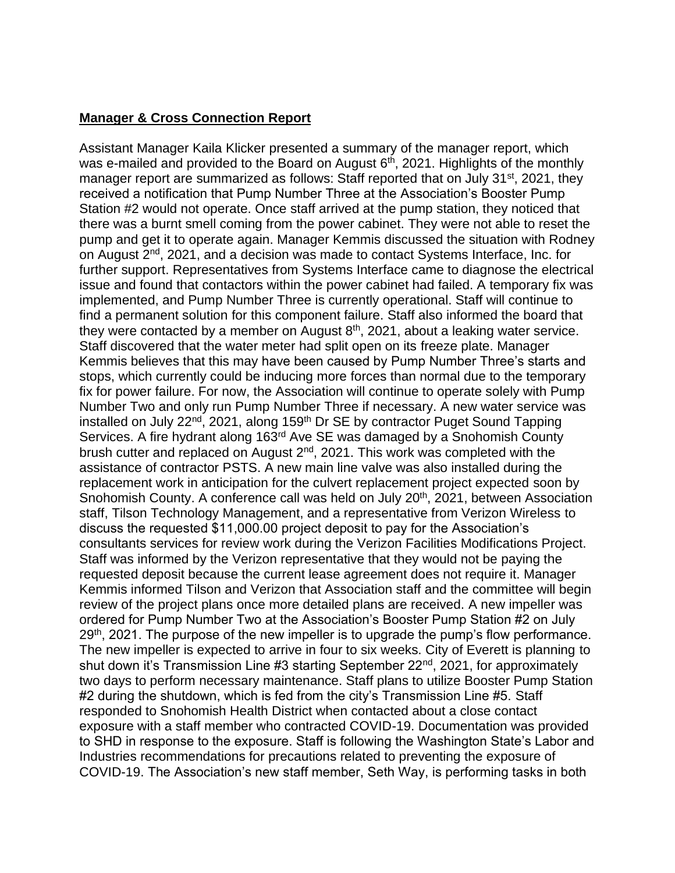## **Manager & Cross Connection Report**

Assistant Manager Kaila Klicker presented a summary of the manager report, which was e-mailed and provided to the Board on August 6<sup>th</sup>, 2021. Highlights of the monthly manager report are summarized as follows: Staff reported that on July 31 $\mathrm{^{st}}$ , 2021, they received a notification that Pump Number Three at the Association's Booster Pump Station #2 would not operate. Once staff arrived at the pump station, they noticed that there was a burnt smell coming from the power cabinet. They were not able to reset the pump and get it to operate again. Manager Kemmis discussed the situation with Rodney on August 2<sup>nd</sup>, 2021, and a decision was made to contact Systems Interface, Inc. for further support. Representatives from Systems Interface came to diagnose the electrical issue and found that contactors within the power cabinet had failed. A temporary fix was implemented, and Pump Number Three is currently operational. Staff will continue to find a permanent solution for this component failure. Staff also informed the board that they were contacted by a member on August  $8<sup>th</sup>$ , 2021, about a leaking water service. Staff discovered that the water meter had split open on its freeze plate. Manager Kemmis believes that this may have been caused by Pump Number Three's starts and stops, which currently could be inducing more forces than normal due to the temporary fix for power failure. For now, the Association will continue to operate solely with Pump Number Two and only run Pump Number Three if necessary. A new water service was installed on July 22<sup>nd</sup>, 2021, along 159<sup>th</sup> Dr SE by contractor Puget Sound Tapping Services. A fire hydrant along 163rd Ave SE was damaged by a Snohomish County brush cutter and replaced on August 2<sup>nd</sup>, 2021. This work was completed with the assistance of contractor PSTS. A new main line valve was also installed during the replacement work in anticipation for the culvert replacement project expected soon by Snohomish County. A conference call was held on July 20<sup>th</sup>, 2021, between Association staff, Tilson Technology Management, and a representative from Verizon Wireless to discuss the requested \$11,000.00 project deposit to pay for the Association's consultants services for review work during the Verizon Facilities Modifications Project. Staff was informed by the Verizon representative that they would not be paying the requested deposit because the current lease agreement does not require it. Manager Kemmis informed Tilson and Verizon that Association staff and the committee will begin review of the project plans once more detailed plans are received. A new impeller was ordered for Pump Number Two at the Association's Booster Pump Station #2 on July 29<sup>th</sup>, 2021. The purpose of the new impeller is to upgrade the pump's flow performance. The new impeller is expected to arrive in four to six weeks. City of Everett is planning to shut down it's Transmission Line #3 starting September 22<sup>nd</sup>, 2021, for approximately two days to perform necessary maintenance. Staff plans to utilize Booster Pump Station #2 during the shutdown, which is fed from the city's Transmission Line #5. Staff responded to Snohomish Health District when contacted about a close contact exposure with a staff member who contracted COVID-19. Documentation was provided to SHD in response to the exposure. Staff is following the Washington State's Labor and Industries recommendations for precautions related to preventing the exposure of COVID-19. The Association's new staff member, Seth Way, is performing tasks in both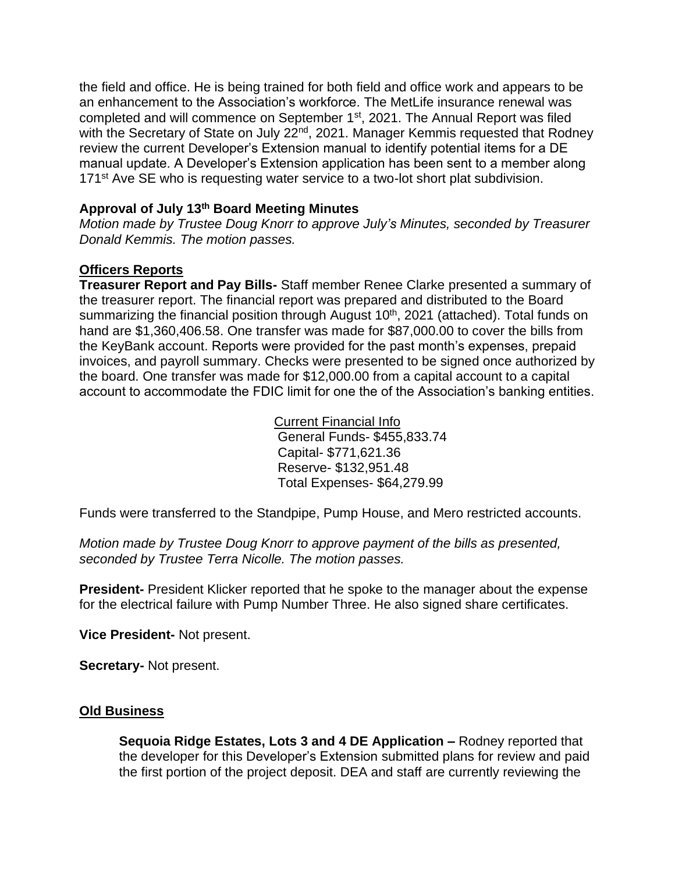the field and office. He is being trained for both field and office work and appears to be an enhancement to the Association's workforce. The MetLife insurance renewal was completed and will commence on September 1<sup>st</sup>, 2021. The Annual Report was filed with the Secretary of State on July 22<sup>nd</sup>, 2021. Manager Kemmis requested that Rodney review the current Developer's Extension manual to identify potential items for a DE manual update. A Developer's Extension application has been sent to a member along 171<sup>st</sup> Ave SE who is requesting water service to a two-lot short plat subdivision.

## **Approval of July 13th Board Meeting Minutes**

*Motion made by Trustee Doug Knorr to approve July's Minutes, seconded by Treasurer Donald Kemmis. The motion passes.*

## **Officers Reports**

**Treasurer Report and Pay Bills-** Staff member Renee Clarke presented a summary of the treasurer report. The financial report was prepared and distributed to the Board summarizing the financial position through August 10<sup>th</sup>, 2021 (attached). Total funds on hand are \$1,360,406.58. One transfer was made for \$87,000.00 to cover the bills from the KeyBank account. Reports were provided for the past month's expenses, prepaid invoices, and payroll summary. Checks were presented to be signed once authorized by the board. One transfer was made for \$12,000.00 from a capital account to a capital account to accommodate the FDIC limit for one the of the Association's banking entities.

> Current Financial Info General Funds- \$455,833.74 Capital- \$771,621.36 Reserve- \$132,951.48 Total Expenses- \$64,279.99

Funds were transferred to the Standpipe, Pump House, and Mero restricted accounts.

*Motion made by Trustee Doug Knorr to approve payment of the bills as presented, seconded by Trustee Terra Nicolle. The motion passes.*

**President-** President Klicker reported that he spoke to the manager about the expense for the electrical failure with Pump Number Three. He also signed share certificates.

**Vice President-** Not present.

**Secretary-** Not present.

#### **Old Business**

**Sequoia Ridge Estates, Lots 3 and 4 DE Application –** Rodney reported that the developer for this Developer's Extension submitted plans for review and paid the first portion of the project deposit. DEA and staff are currently reviewing the